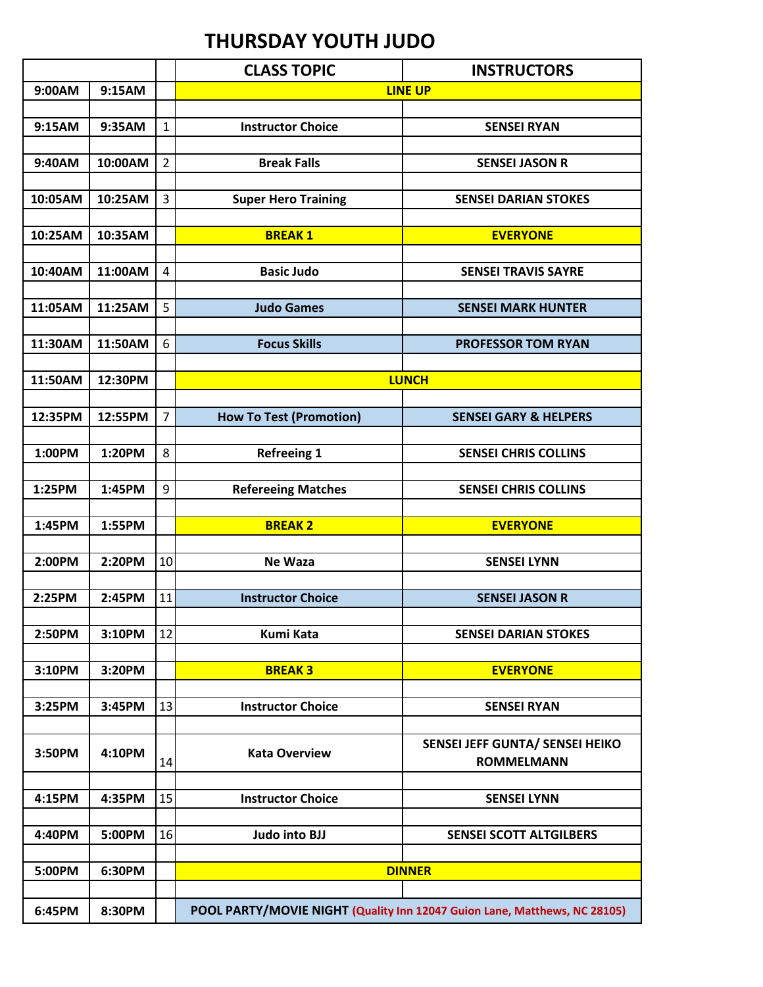## **THURSDAY YOUTH JUDO**

|                  |         |                | <b>CLASS TOPIC</b>                                                        | <b>INSTRUCTORS</b>               |  |
|------------------|---------|----------------|---------------------------------------------------------------------------|----------------------------------|--|
| 9:00AM<br>9:15AM |         |                | <b>LINE UP</b>                                                            |                                  |  |
|                  |         |                |                                                                           |                                  |  |
| 9:15AM           | 9:35AM  | 1              | <b>Instructor Choice</b>                                                  | <b>SENSEI RYAN</b>               |  |
|                  |         |                |                                                                           |                                  |  |
| 9:40AM           | 10:00AM | 2              | <b>Break Falls</b>                                                        | <b>SENSEI JASON R</b>            |  |
|                  |         |                |                                                                           |                                  |  |
| 10:05AM          | 10:25AM | 3              | <b>Super Hero Training</b>                                                | <b>SENSEI DARIAN STOKES</b>      |  |
|                  |         |                |                                                                           |                                  |  |
| 10:25AM          | 10:35AM |                | <b>BREAK1</b>                                                             | <b>EVERYONE</b>                  |  |
|                  |         |                |                                                                           |                                  |  |
| 10:40AM          | 11:00AM | 4              | <b>Basic Judo</b>                                                         | <b>SENSEI TRAVIS SAYRE</b>       |  |
|                  |         |                |                                                                           |                                  |  |
| 11:05AM          | 11:25AM | 5              | <b>Judo Games</b>                                                         | <b>SENSEI MARK HUNTER</b>        |  |
|                  |         |                |                                                                           |                                  |  |
| 11:30AM          | 11:50AM | 6              | <b>Focus Skills</b>                                                       | <b>PROFESSOR TOM RYAN</b>        |  |
|                  |         |                |                                                                           |                                  |  |
| 11:50AM          | 12:30PM |                | <b>LUNCH</b>                                                              |                                  |  |
|                  |         |                |                                                                           |                                  |  |
|                  |         | $\overline{7}$ |                                                                           |                                  |  |
| 12:35PM          | 12:55PM |                | <b>How To Test (Promotion)</b>                                            | <b>SENSEI GARY &amp; HELPERS</b> |  |
|                  |         |                |                                                                           |                                  |  |
| 1:00PM           | 1:20PM  | 8              | <b>Refreeing 1</b>                                                        | <b>SENSEI CHRIS COLLINS</b>      |  |
|                  |         |                |                                                                           |                                  |  |
| 1:25PM           | 1:45PM  | 9              | <b>Refereeing Matches</b>                                                 | <b>SENSEI CHRIS COLLINS</b>      |  |
|                  |         |                |                                                                           |                                  |  |
| 1:45PM           | 1:55PM  |                | <b>BREAK2</b>                                                             | <b>EVERYONE</b>                  |  |
|                  |         |                |                                                                           |                                  |  |
| 2:00PM           | 2:20PM  | 10             | <b>Ne Waza</b>                                                            | <b>SENSEI LYNN</b>               |  |
|                  |         |                |                                                                           |                                  |  |
| 2:25PM           | 2:45PM  | 11             | <b>Instructor Choice</b>                                                  | <b>SENSEI JASON R</b>            |  |
|                  |         |                |                                                                           |                                  |  |
| 2:50PM           | 3:10PM  | 12             | <b>Kumi Kata</b>                                                          | <b>SENSEI DARIAN STOKES</b>      |  |
|                  |         |                |                                                                           |                                  |  |
| 3:10PM           | 3:20PM  |                | <b>BREAK3</b>                                                             | <b>EVERYONE</b>                  |  |
|                  |         |                |                                                                           |                                  |  |
| 3:25PM           | 3:45PM  | 13             | <b>Instructor Choice</b>                                                  | <b>SENSEI RYAN</b>               |  |
|                  |         |                |                                                                           |                                  |  |
|                  |         |                |                                                                           | SENSEI JEFF GUNTA/ SENSEI HEIKO  |  |
| 3:50PM           | 4:10PM  | 14             | <b>Kata Overview</b>                                                      | <b>ROMMELMANN</b>                |  |
|                  |         |                |                                                                           |                                  |  |
| 4:15PM           | 4:35PM  | 15             | <b>Instructor Choice</b>                                                  | <b>SENSEI LYNN</b>               |  |
|                  |         |                |                                                                           |                                  |  |
| 4:40PM           | 5:00PM  | 16             | <b>Judo into BJJ</b>                                                      | SENSEI SCOTT ALTGILBERS          |  |
|                  |         |                |                                                                           |                                  |  |
|                  |         |                |                                                                           |                                  |  |
| 5:00PM           | 6:30PM  |                | <b>DINNER</b>                                                             |                                  |  |
|                  |         |                |                                                                           |                                  |  |
| 6:45PM           | 8:30PM  |                | POOL PARTY/MOVIE NIGHT (Quality Inn 12047 Guion Lane, Matthews, NC 28105) |                                  |  |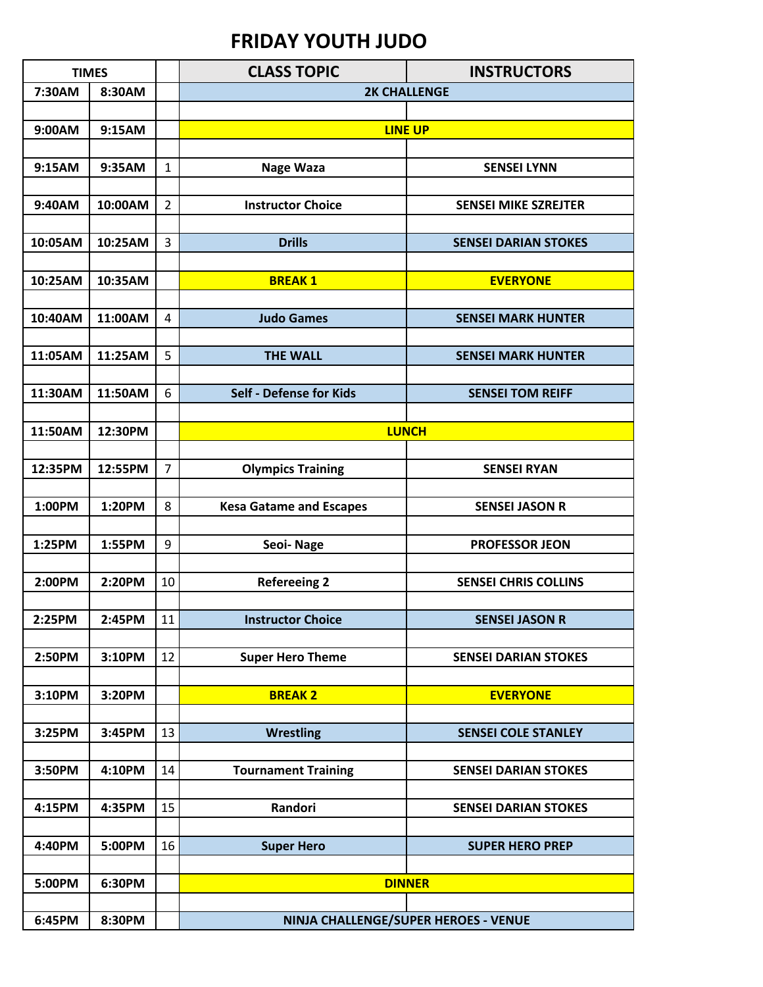## **FRIDAY YOUTH JUDO**

| <b>TIMES</b> |         |                | <b>CLASS TOPIC</b>             | <b>INSTRUCTORS</b>                   |
|--------------|---------|----------------|--------------------------------|--------------------------------------|
| 7:30AM       | 8:30AM  |                | <b>2K CHALLENGE</b>            |                                      |
|              |         |                |                                |                                      |
| 9:00AM       | 9:15AM  |                | <b>LINE UP</b>                 |                                      |
|              |         |                |                                |                                      |
| 9:15AM       | 9:35AM  | $\mathbf{1}$   | <b>Nage Waza</b>               | <b>SENSEI LYNN</b>                   |
|              |         |                |                                |                                      |
| 9:40AM       | 10:00AM | $\overline{2}$ | <b>Instructor Choice</b>       | <b>SENSEI MIKE SZREJTER</b>          |
|              |         |                |                                |                                      |
| 10:05AM      | 10:25AM | 3              | <b>Drills</b>                  | <b>SENSEI DARIAN STOKES</b>          |
|              |         |                |                                |                                      |
| 10:25AM      | 10:35AM |                | <b>BREAK1</b>                  | <b>EVERYONE</b>                      |
|              |         |                |                                |                                      |
| 10:40AM      | 11:00AM | 4              | <b>Judo Games</b>              | <b>SENSEI MARK HUNTER</b>            |
|              |         |                |                                |                                      |
| 11:05AM      | 11:25AM | 5              | <b>THE WALL</b>                | <b>SENSEI MARK HUNTER</b>            |
| 11:30AM      | 11:50AM | 6              | <b>Self - Defense for Kids</b> | <b>SENSEI TOM REIFF</b>              |
|              |         |                |                                |                                      |
| 11:50AM      | 12:30PM |                |                                | <b>LUNCH</b>                         |
|              |         |                |                                |                                      |
| 12:35PM      | 12:55PM | $\overline{7}$ | <b>Olympics Training</b>       | <b>SENSEI RYAN</b>                   |
|              |         |                |                                |                                      |
| 1:00PM       | 1:20PM  | 8              | <b>Kesa Gatame and Escapes</b> | <b>SENSEI JASON R</b>                |
|              |         |                |                                |                                      |
| 1:25PM       | 1:55PM  | 9              | Seoi-Nage                      | <b>PROFESSOR JEON</b>                |
|              |         |                |                                |                                      |
| 2:00PM       | 2:20PM  | 10             | <b>Refereeing 2</b>            | <b>SENSEI CHRIS COLLINS</b>          |
|              |         |                |                                |                                      |
| 2:25PM       | 2:45PM  | $11\,$         | <b>Instructor Choice</b>       | <b>SENSEI JASON R</b>                |
|              |         |                |                                |                                      |
| 2:50PM       | 3:10PM  | 12             | <b>Super Hero Theme</b>        | <b>SENSEI DARIAN STOKES</b>          |
|              |         |                |                                |                                      |
| 3:10PM       | 3:20PM  |                | <b>BREAK 2</b>                 | <b>EVERYONE</b>                      |
|              |         |                |                                |                                      |
| 3:25PM       | 3:45PM  | 13             | <b>Wrestling</b>               | <b>SENSEI COLE STANLEY</b>           |
|              |         |                |                                |                                      |
| 3:50PM       | 4:10PM  | 14             | <b>Tournament Training</b>     | <b>SENSEI DARIAN STOKES</b>          |
|              |         |                |                                |                                      |
| 4:15PM       | 4:35PM  | 15             | Randori                        | <b>SENSEI DARIAN STOKES</b>          |
|              |         |                |                                |                                      |
| 4:40PM       | 5:00PM  | 16             | <b>Super Hero</b>              | <b>SUPER HERO PREP</b>               |
| 5:00PM       | 6:30PM  |                |                                |                                      |
|              |         |                | <b>DINNER</b>                  |                                      |
| 6:45PM       | 8:30PM  |                |                                | NINJA CHALLENGE/SUPER HEROES - VENUE |
|              |         |                |                                |                                      |